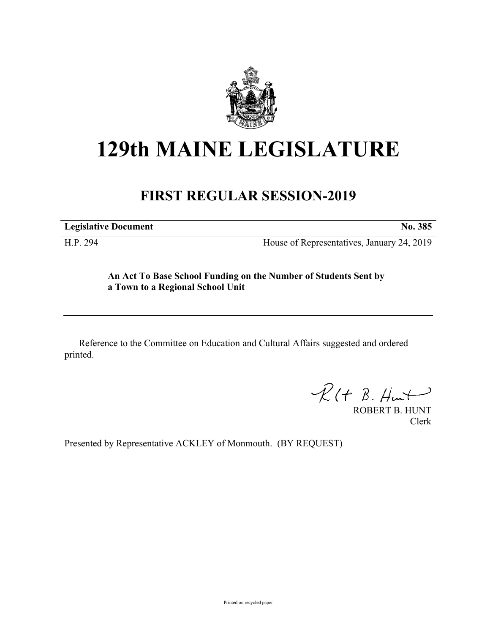

## **129th MAINE LEGISLATURE**

## **FIRST REGULAR SESSION-2019**

**Legislative Document No. 385**

H.P. 294 House of Representatives, January 24, 2019

**An Act To Base School Funding on the Number of Students Sent by a Town to a Regional School Unit**

Reference to the Committee on Education and Cultural Affairs suggested and ordered printed.

 $\mathcal{R}(t \; \mathcal{B}, \mathcal{H}_{\mathsf{int}})$ 

ROBERT B. HUNT Clerk

Presented by Representative ACKLEY of Monmouth. (BY REQUEST)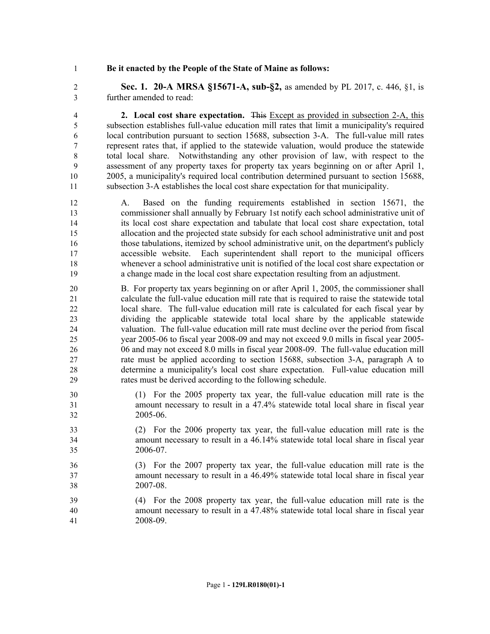## **Be it enacted by the People of the State of Maine as follows:**

 **Sec. 1. 20-A MRSA §15671-A, sub-§2,** as amended by PL 2017, c. 446, §1, is further amended to read:

 **2. Local cost share expectation.** This Except as provided in subsection 2-A, this subsection establishes full-value education mill rates that limit a municipality's required local contribution pursuant to section 15688, subsection 3-A. The full-value mill rates represent rates that, if applied to the statewide valuation, would produce the statewide total local share. Notwithstanding any other provision of law, with respect to the assessment of any property taxes for property tax years beginning on or after April 1, 2005, a municipality's required local contribution determined pursuant to section 15688, subsection 3-A establishes the local cost share expectation for that municipality.

 A. Based on the funding requirements established in section 15671, the commissioner shall annually by February 1st notify each school administrative unit of its local cost share expectation and tabulate that local cost share expectation, total allocation and the projected state subsidy for each school administrative unit and post those tabulations, itemized by school administrative unit, on the department's publicly accessible website. Each superintendent shall report to the municipal officers whenever a school administrative unit is notified of the local cost share expectation or a change made in the local cost share expectation resulting from an adjustment.

- B. For property tax years beginning on or after April 1, 2005, the commissioner shall calculate the full-value education mill rate that is required to raise the statewide total local share. The full-value education mill rate is calculated for each fiscal year by dividing the applicable statewide total local share by the applicable statewide valuation. The full-value education mill rate must decline over the period from fiscal year 2005-06 to fiscal year 2008-09 and may not exceed 9.0 mills in fiscal year 2005- 06 and may not exceed 8.0 mills in fiscal year 2008-09. The full-value education mill rate must be applied according to section 15688, subsection 3-A, paragraph A to determine a municipality's local cost share expectation. Full-value education mill rates must be derived according to the following schedule.
- (1) For the 2005 property tax year, the full-value education mill rate is the amount necessary to result in a 47.4% statewide total local share in fiscal year 2005-06.
- (2) For the 2006 property tax year, the full-value education mill rate is the amount necessary to result in a 46.14% statewide total local share in fiscal year 2006-07.
- (3) For the 2007 property tax year, the full-value education mill rate is the amount necessary to result in a 46.49% statewide total local share in fiscal year 2007-08.
- (4) For the 2008 property tax year, the full-value education mill rate is the amount necessary to result in a 47.48% statewide total local share in fiscal year 2008-09.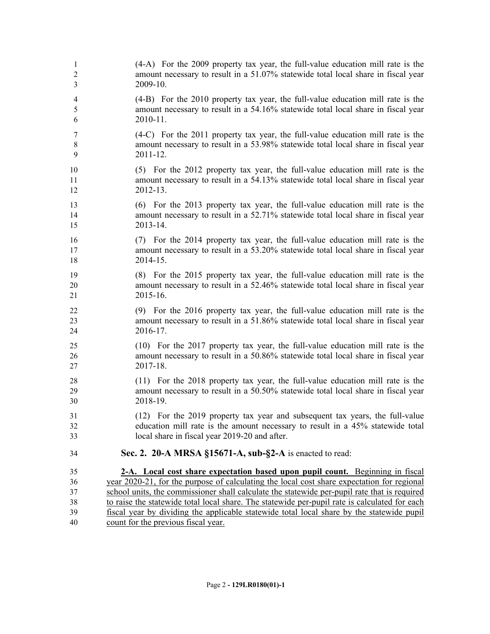| $\overline{4}$<br>5<br>2010-11.<br>6<br>7<br>$8\,$<br>9<br>2011-12.<br>10<br>11<br>2012-13.<br>12<br>13<br>14<br>2013-14.<br>15<br>16<br>17<br>2014-15.<br>18<br>19<br>20<br>2015-16.<br>21<br>22<br>23<br>2016-17.<br>24<br>25<br>26<br>2017-18.<br>27<br>28<br>29<br>2018-19.<br>30<br>31<br>32<br>local share in fiscal year 2019-20 and after.<br>33<br>Sec. 2. 20-A MRSA §15671-A, sub-§2-A is enacted to read:<br>34<br>35<br>36<br>37<br>38<br>39 | $\mathbf{1}$<br>$\mathfrak{2}$<br>3 | (4-A) For the 2009 property tax year, the full-value education mill rate is the<br>amount necessary to result in a 51.07% statewide total local share in fiscal year<br>2009-10.                                                                                                                                                                                                                                                                                                                                 |
|----------------------------------------------------------------------------------------------------------------------------------------------------------------------------------------------------------------------------------------------------------------------------------------------------------------------------------------------------------------------------------------------------------------------------------------------------------|-------------------------------------|------------------------------------------------------------------------------------------------------------------------------------------------------------------------------------------------------------------------------------------------------------------------------------------------------------------------------------------------------------------------------------------------------------------------------------------------------------------------------------------------------------------|
|                                                                                                                                                                                                                                                                                                                                                                                                                                                          |                                     | (4-B) For the 2010 property tax year, the full-value education mill rate is the<br>amount necessary to result in a 54.16% statewide total local share in fiscal year                                                                                                                                                                                                                                                                                                                                             |
|                                                                                                                                                                                                                                                                                                                                                                                                                                                          |                                     | (4-C) For the 2011 property tax year, the full-value education mill rate is the<br>amount necessary to result in a 53.98% statewide total local share in fiscal year                                                                                                                                                                                                                                                                                                                                             |
|                                                                                                                                                                                                                                                                                                                                                                                                                                                          |                                     | (5) For the 2012 property tax year, the full-value education mill rate is the<br>amount necessary to result in a 54.13% statewide total local share in fiscal year                                                                                                                                                                                                                                                                                                                                               |
|                                                                                                                                                                                                                                                                                                                                                                                                                                                          |                                     | (6) For the 2013 property tax year, the full-value education mill rate is the<br>amount necessary to result in a 52.71% statewide total local share in fiscal year                                                                                                                                                                                                                                                                                                                                               |
|                                                                                                                                                                                                                                                                                                                                                                                                                                                          |                                     | (7) For the 2014 property tax year, the full-value education mill rate is the<br>amount necessary to result in a 53.20% statewide total local share in fiscal year                                                                                                                                                                                                                                                                                                                                               |
|                                                                                                                                                                                                                                                                                                                                                                                                                                                          |                                     | (8) For the 2015 property tax year, the full-value education mill rate is the<br>amount necessary to result in a 52.46% statewide total local share in fiscal year                                                                                                                                                                                                                                                                                                                                               |
|                                                                                                                                                                                                                                                                                                                                                                                                                                                          |                                     | (9) For the 2016 property tax year, the full-value education mill rate is the<br>amount necessary to result in a 51.86% statewide total local share in fiscal year                                                                                                                                                                                                                                                                                                                                               |
|                                                                                                                                                                                                                                                                                                                                                                                                                                                          |                                     | (10) For the 2017 property tax year, the full-value education mill rate is the<br>amount necessary to result in a 50.86% statewide total local share in fiscal year                                                                                                                                                                                                                                                                                                                                              |
|                                                                                                                                                                                                                                                                                                                                                                                                                                                          |                                     | (11) For the 2018 property tax year, the full-value education mill rate is the<br>amount necessary to result in a 50.50% statewide total local share in fiscal year                                                                                                                                                                                                                                                                                                                                              |
|                                                                                                                                                                                                                                                                                                                                                                                                                                                          |                                     | (12) For the 2019 property tax year and subsequent tax years, the full-value<br>education mill rate is the amount necessary to result in a 45% statewide total                                                                                                                                                                                                                                                                                                                                                   |
|                                                                                                                                                                                                                                                                                                                                                                                                                                                          |                                     |                                                                                                                                                                                                                                                                                                                                                                                                                                                                                                                  |
|                                                                                                                                                                                                                                                                                                                                                                                                                                                          | 40                                  | 2-A. Local cost share expectation based upon pupil count. Beginning in fiscal<br>year 2020-21, for the purpose of calculating the local cost share expectation for regional<br>school units, the commissioner shall calculate the statewide per-pupil rate that is required<br>to raise the statewide total local share. The statewide per-pupil rate is calculated for each<br>fiscal year by dividing the applicable statewide total local share by the statewide pupil<br>count for the previous fiscal year. |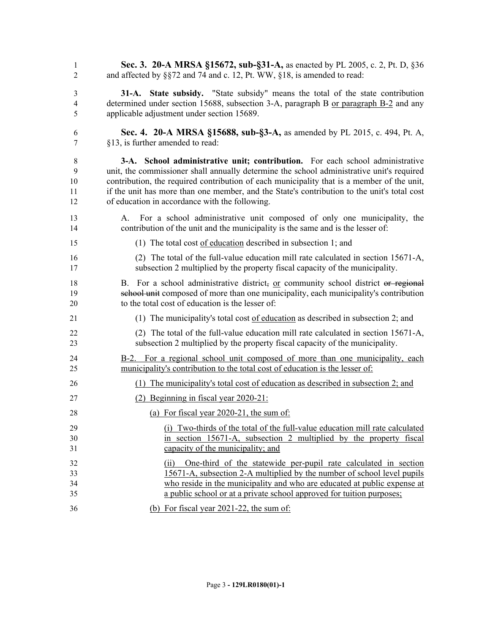| 1        | Sec. 3. 20-A MRSA §15672, sub-§31-A, as enacted by PL 2005, c. 2, Pt. D, §36                                                                                     |
|----------|------------------------------------------------------------------------------------------------------------------------------------------------------------------|
| 2        | and affected by §§72 and 74 and c. 12, Pt. WW, §18, is amended to read:                                                                                          |
| 3        | 31-A. State subsidy. "State subsidy" means the total of the state contribution                                                                                   |
| 4        | determined under section 15688, subsection 3-A, paragraph B or paragraph B-2 and any                                                                             |
| 5        | applicable adjustment under section 15689.                                                                                                                       |
| 6        | Sec. 4. 20-A MRSA §15688, sub-§3-A, as amended by PL 2015, c. 494, Pt. A,                                                                                        |
| 7        | §13, is further amended to read:                                                                                                                                 |
| 8        | 3-A. School administrative unit; contribution. For each school administrative                                                                                    |
| 9        | unit, the commissioner shall annually determine the school administrative unit's required                                                                        |
| 10       | contribution, the required contribution of each municipality that is a member of the unit,                                                                       |
| 11       | if the unit has more than one member, and the State's contribution to the unit's total cost                                                                      |
| 12       | of education in accordance with the following.                                                                                                                   |
| 13<br>14 | For a school administrative unit composed of only one municipality, the<br>A.<br>contribution of the unit and the municipality is the same and is the lesser of: |
| 15       | (1) The total cost of education described in subsection 1; and                                                                                                   |
| 16       | (2) The total of the full-value education mill rate calculated in section 15671-A,                                                                               |
| 17       | subsection 2 multiplied by the property fiscal capacity of the municipality.                                                                                     |
| 18       | B. For a school administrative district, or community school district or regional                                                                                |
| 19       | school unit composed of more than one municipality, each municipality's contribution                                                                             |
| 20       | to the total cost of education is the lesser of:                                                                                                                 |
| 21       | (1) The municipality's total cost of education as described in subsection 2; and                                                                                 |
| 22       | (2) The total of the full-value education mill rate calculated in section 15671-A,                                                                               |
| 23       | subsection 2 multiplied by the property fiscal capacity of the municipality.                                                                                     |
| 24       | B-2. For a regional school unit composed of more than one municipality, each                                                                                     |
| 25       | municipality's contribution to the total cost of education is the lesser of:                                                                                     |
| 26       | The municipality's total cost of education as described in subsection 2; and<br>(1)                                                                              |
| 27       | $(2)$ Beginning in fiscal year 2020-21:                                                                                                                          |
| 28       | (a) For fiscal year 2020-21, the sum of:                                                                                                                         |
| 29       | (i) Two-thirds of the total of the full-value education mill rate calculated                                                                                     |
| 30       | in section 15671-A, subsection 2 multiplied by the property fiscal                                                                                               |
| 31       | capacity of the municipality; and                                                                                                                                |
| 32       | (ii) One-third of the statewide per-pupil rate calculated in section                                                                                             |
| 33       | 15671-A, subsection 2-A multiplied by the number of school level pupils                                                                                          |
| 34       | who reside in the municipality and who are educated at public expense at                                                                                         |
| 35       | a public school or at a private school approved for tuition purposes;                                                                                            |
| 36       | (b) For fiscal year $2021-22$ , the sum of:                                                                                                                      |